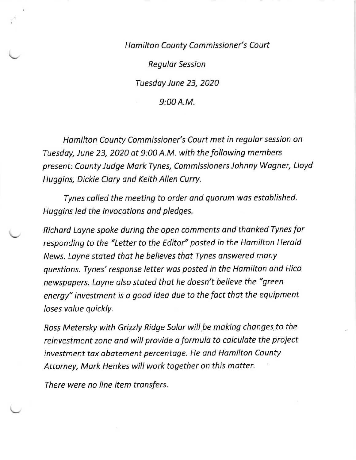Hamilton County Commissioner's Court Regulor session Tuesdoy June 23, 2020 9:00 A.M.

Hamilton County Commissioner's Court met in regular session on Tuesday, June 23, 2020 at 9:00 A.M. with the following members present: County Judge Mork Tynes, Commissioners Johnny Wogner, Lloyd Huggins, Dickie Clory ond Keith Allen Curry.

Tynes called the meeting to order ond quorum wos estoblished. Huggins led the invocotions and pledges.

\\_ Richord Loyne spoke during the open comments ond thonked Tynes for responding to the "Letter to the Editor" posted in the Hamilton Herald News. Layne stated that he believes that Tynes answered many questions. Tynes' response letter wos posted in the Homilton ond Hico newspapers. Loyne olso stoted thot he doesn't believe the "green energy" investment is a good ideo due to the foct that the equipment loses value quickly.

Ross Metersky with Grizzly Ridge Solar will be making changes to the reinvestment zone and will provide a formula to calculate the project investment tox obotement percentoge. He ond Homilton County Attorney, Mark Henkes will work together on this motter.

There were no line item transfers.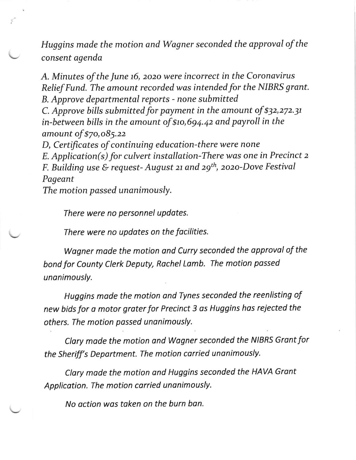Huggins made the motion and Wagner seconded the approval of the consent agenda

A. Minutes of the June 16, 2020 were incorrect in the Coronavirus Relief Fund. The amount recorded was intended for the NIBRS grant. B. Approve departmental reports - none submitted

C. Approve bills submitted for payment in the amount of \$32,272.31 in-between bills in the amount of  $$10,694.42$  and payroll in the amount of \$7o,o85.22

D, Certificates of continuing education-there were none E. Application(s) for culvert installation-There was one in Precinct <sup>z</sup> F. Building use & request- August 21 and  $29^{th}$ , 2020-Dove Festival Pageant

The motion passed unanimously.

There were no personnel updates.

There were no updates on the facilities.

Wagner made the motion and Curry seconded the approval of the bond for County Clerk Deputy, Rachel Lamb. The motion passed unanimously.

Huggins mode the motion ond Tynes seconded the reenlisting of new bids for a motor grater for Precinct 3 as Huggins has rejected the others. The motion passed unanimously.

Clary made the motion and Wagner seconded the NIBRS Grant for the Sheriff's Department. The motion carried unanimously.

Clary made the motion and Huggins seconded the HAVA Grant Application. The motion carried unanimously.

No action was taken on the burn ban.